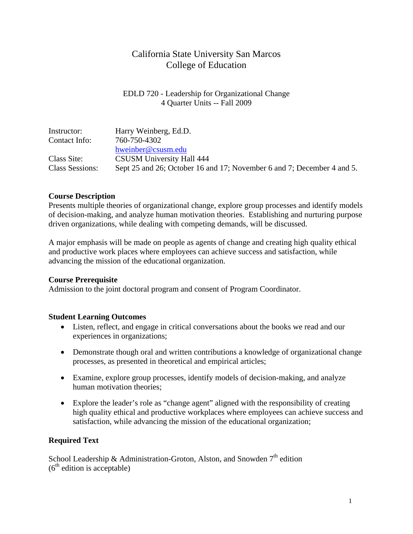# California State University San Marcos College of Education

EDLD 720 - Leadership for Organizational Change 4 Quarter Units -- Fall 2009

| Instructor:            | Harry Weinberg, Ed.D.                                                  |
|------------------------|------------------------------------------------------------------------|
| Contact Info:          | 760-750-4302                                                           |
|                        | hweinber@csusm.edu                                                     |
| Class Site:            | <b>CSUSM University Hall 444</b>                                       |
| <b>Class Sessions:</b> | Sept 25 and 26; October 16 and 17; November 6 and 7; December 4 and 5. |

### **Course Description**

Presents multiple theories of organizational change, explore group processes and identify models of decision-making, and analyze human motivation theories. Establishing and nurturing purpose driven organizations, while dealing with competing demands, will be discussed.

A major emphasis will be made on people as agents of change and creating high quality ethical and productive work places where employees can achieve success and satisfaction, while advancing the mission of the educational organization.

### **Course Prerequisite**

Admission to the joint doctoral program and consent of Program Coordinator.

### **Student Learning Outcomes**

- Listen, reflect, and engage in critical conversations about the books we read and our experiences in organizations;
- Demonstrate though oral and written contributions a knowledge of organizational change processes, as presented in theoretical and empirical articles;
- Examine, explore group processes, identify models of decision-making, and analyze human motivation theories;
- Explore the leader's role as "change agent" aligned with the responsibility of creating high quality ethical and productive workplaces where employees can achieve success and satisfaction, while advancing the mission of the educational organization;

### **Required Text**

School Leadership & Administration-Groton, Alston, and Snowden  $7<sup>th</sup>$  edition  $(6<sup>th</sup>$  edition is acceptable)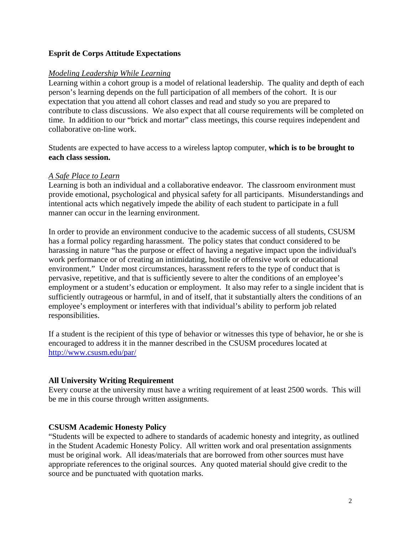### **Esprit de Corps Attitude Expectations**

### *Modeling Leadership While Learning*

Learning within a cohort group is a model of relational leadership. The quality and depth of each person's learning depends on the full participation of all members of the cohort. It is our expectation that you attend all cohort classes and read and study so you are prepared to contribute to class discussions. We also expect that all course requirements will be completed on time. In addition to our "brick and mortar" class meetings, this course requires independent and collaborative on-line work.

Students are expected to have access to a wireless laptop computer, **which is to be brought to each class session.** 

### *A Safe Place to Learn*

Learning is both an individual and a collaborative endeavor. The classroom environment must provide emotional, psychological and physical safety for all participants. Misunderstandings and intentional acts which negatively impede the ability of each student to participate in a full manner can occur in the learning environment.

In order to provide an environment conducive to the academic success of all students, CSUSM has a formal policy regarding harassment. The policy states that conduct considered to be harassing in nature "has the purpose or effect of having a negative impact upon the individual's work performance or of creating an intimidating, hostile or offensive work or educational environment." Under most circumstances, harassment refers to the type of conduct that is pervasive, repetitive, and that is sufficiently severe to alter the conditions of an employee's employment or a student's education or employment. It also may refer to a single incident that is sufficiently outrageous or harmful, in and of itself, that it substantially alters the conditions of an employee's employment or interferes with that individual's ability to perform job related responsibilities.

 http://www.csusm.edu/par/ If a student is the recipient of this type of behavior or witnesses this type of behavior, he or she is encouraged to address it in the manner described in the CSUSM procedures located at

### **All University Writing Requirement**

Every course at the university must have a writing requirement of at least 2500 words. This will be me in this course through written assignments.

### **CSUSM Academic Honesty Policy**

"Students will be expected to adhere to standards of academic honesty and integrity, as outlined in the Student Academic Honesty Policy. All written work and oral presentation assignments must be original work. All ideas/materials that are borrowed from other sources must have appropriate references to the original sources. Any quoted material should give credit to the source and be punctuated with quotation marks.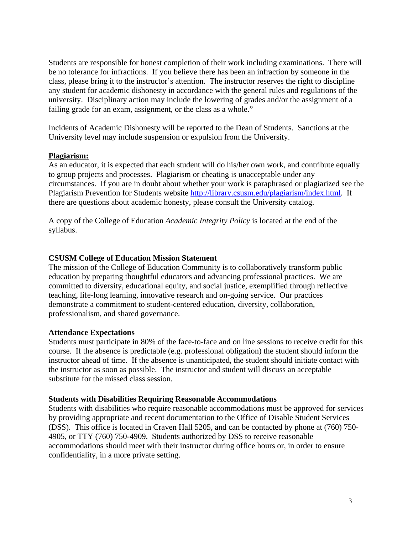Students are responsible for honest completion of their work including examinations. There will be no tolerance for infractions. If you believe there has been an infraction by someone in the class, please bring it to the instructor's attention. The instructor reserves the right to discipline any student for academic dishonesty in accordance with the general rules and regulations of the university. Disciplinary action may include the lowering of grades and/or the assignment of a failing grade for an exam, assignment, or the class as a whole."

Incidents of Academic Dishonesty will be reported to the Dean of Students. Sanctions at the University level may include suspension or expulsion from the University.

#### **Plagiarism:**

As an educator, it is expected that each student will do his/her own work, and contribute equally to group projects and processes. Plagiarism or cheating is unacceptable under any circumstances. If you are in doubt about whether your work is paraphrased or plagiarized see the Plagiarism Prevention for Students website http://library.csusm.edu/plagiarism/index.html. If there are questions about academic honesty, please consult the University catalog.

A copy of the College of Education *Academic Integrity Policy* is located at the end of the syllabus.

#### **CSUSM College of Education Mission Statement**

The mission of the College of Education Community is to collaboratively transform public education by preparing thoughtful educators and advancing professional practices. We are committed to diversity, educational equity, and social justice, exemplified through reflective teaching, life-long learning, innovative research and on-going service. Our practices demonstrate a commitment to student-centered education, diversity, collaboration, professionalism, and shared governance.

#### **Attendance Expectations**

Students must participate in 80% of the face-to-face and on line sessions to receive credit for this course. If the absence is predictable (e.g. professional obligation) the student should inform the instructor ahead of time. If the absence is unanticipated, the student should initiate contact with the instructor as soon as possible. The instructor and student will discuss an acceptable substitute for the missed class session.

#### **Students with Disabilities Requiring Reasonable Accommodations**

Students with disabilities who require reasonable accommodations must be approved for services by providing appropriate and recent documentation to the Office of Disable Student Services (DSS). This office is located in Craven Hall 5205, and can be contacted by phone at (760) 750- 4905, or TTY (760) 750-4909. Students authorized by DSS to receive reasonable accommodations should meet with their instructor during office hours or, in order to ensure confidentiality, in a more private setting.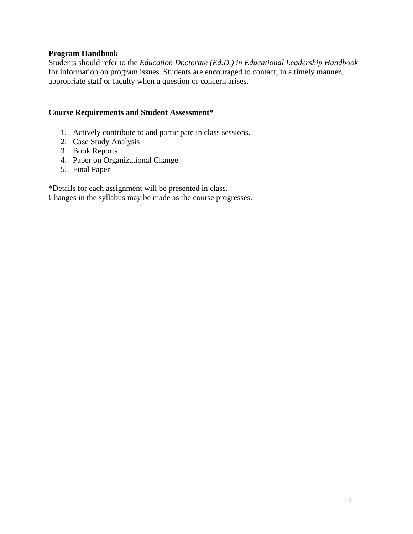### **Program Handbook**

Students should refer to the *Education Doctorate (Ed.D.) in Educational Leadership Handbook*  for information on program issues. Students are encouraged to contact, in a timely manner, appropriate staff or faculty when a question or concern arises.

## **Course Requirements and Student Assessment\***

- 1. Actively contribute to and participate in class sessions.
- 2. Case Study Analysis
- 3. Book Reports
- 4. Paper on Organizational Change
- 5. Final Paper

\*Details for each assignment will be presented in class. Changes in the syllabus may be made as the course progresses.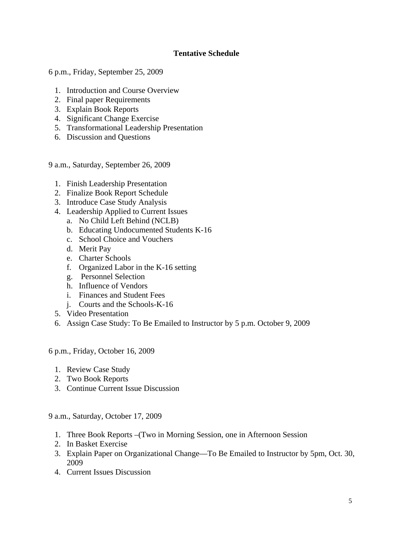### **Tentative Schedule**

6 p.m., Friday, September 25, 2009

- 1. Introduction and Course Overview
- 2. Final paper Requirements
- 3. Explain Book Reports
- 4. Significant Change Exercise
- 5. Transformational Leadership Presentation
- 6. Discussion and Questions

9 a.m., Saturday, September 26, 2009

- 1. Finish Leadership Presentation
- 2. Finalize Book Report Schedule
- 3. Introduce Case Study Analysis
- 4. Leadership Applied to Current Issues
	- a. No Child Left Behind (NCLB)
	- b. Educating Undocumented Students K-16
	- c. School Choice and Vouchers
	- d. Merit Pay
	- e. Charter Schools
	- f. Organized Labor in the K-16 setting
	- g. Personnel Selection
	- h. Influence of Vendors
	- i. Finances and Student Fees
	- j. Courts and the Schools-K-16
- 5. Video Presentation
- 6. Assign Case Study: To Be Emailed to Instructor by 5 p.m. October 9, 2009

6 p.m., Friday, October 16, 2009

- 1. Review Case Study
- 2. Two Book Reports
- 3. Continue Current Issue Discussion

9 a.m., Saturday, October 17, 2009

- 1. Three Book Reports –(Two in Morning Session, one in Afternoon Session
- 2. In Basket Exercise
- 3. Explain Paper on Organizational Change—To Be Emailed to Instructor by 5pm, Oct. 30, 2009
- 4. Current Issues Discussion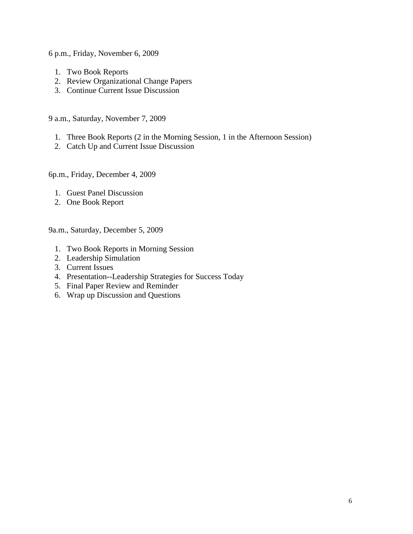6 p.m., Friday, November 6, 2009

- 1. Two Book Reports
- 2. Review Organizational Change Papers
- 3. Continue Current Issue Discussion

9 a.m., Saturday, November 7, 2009

- 1. Three Book Reports (2 in the Morning Session, 1 in the Afternoon Session)
- 2. Catch Up and Current Issue Discussion

6p.m., Friday, December 4, 2009

- 1. Guest Panel Discussion
- 2. One Book Report

9a.m., Saturday, December 5, 2009

- 1. Two Book Reports in Morning Session
- 2. Leadership Simulation
- 3. Current Issues
- 4. Presentation--Leadership Strategies for Success Today
- 5. Final Paper Review and Reminder
- 6. Wrap up Discussion and Questions